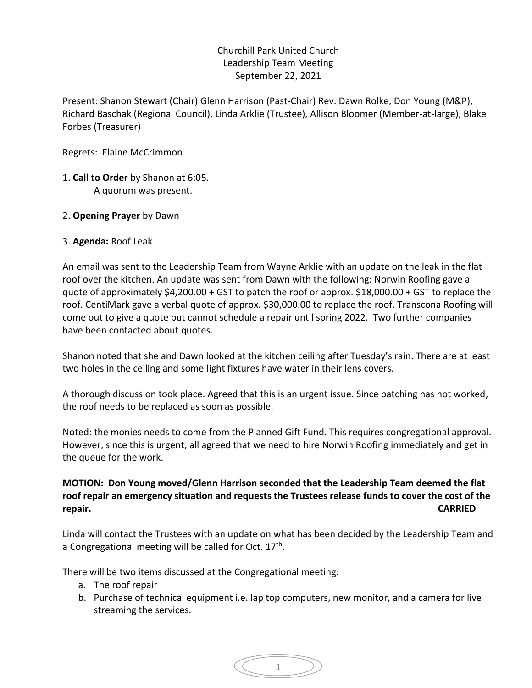## Churchill Park United Church Leadership Team Meeting September 22, 2021

Present: Shanon Stewart (Chair) Glenn Harrison (Past-Chair) Rev. Dawn Rolke, Don Young (M&P), Richard Baschak (Regional Council), Linda Arklie (Trustee), Allison Bloomer (Member-at-large), Blake Forbes (Treasurer)

Regrets: Elaine McCrimmon

- 1. **Call to Order** by Shanon at 6:05. A quorum was present.
- 2. **Opening Prayer** by Dawn

## 3. **Agenda:** Roof Leak

An email was sent to the Leadership Team from Wayne Arklie with an update on the leak in the flat roof over the kitchen. An update was sent from Dawn with the following: Norwin Roofing gave a quote of approximately \$4,200.00 + GST to patch the roof or approx. \$18,000.00 + GST to replace the roof. CentiMark gave a verbal quote of approx. \$30,000.00 to replace the roof. Transcona Roofing will come out to give a quote but cannot schedule a repair until spring 2022. Two further companies have been contacted about quotes.

Shanon noted that she and Dawn looked at the kitchen ceiling after Tuesday's rain. There are at least two holes in the ceiling and some light fixtures have water in their lens covers.

A thorough discussion took place. Agreed that this is an urgent issue. Since patching has not worked, the roof needs to be replaced as soon as possible.

Noted: the monies needs to come from the Planned Gift Fund. This requires congregational approval. However, since this is urgent, all agreed that we need to hire Norwin Roofing immediately and get in the queue for the work.

## **MOTION: Don Young moved/Glenn Harrison seconded that the Leadership Team deemed the flat roof repair an emergency situation and requests the Trustees release funds to cover the cost of the repair. CARRIED**

Linda will contact the Trustees with an update on what has been decided by the Leadership Team and a Congregational meeting will be called for Oct. 17<sup>th</sup>.

There will be two items discussed at the Congregational meeting:

- a. The roof repair
- b. Purchase of technical equipment i.e. lap top computers, new monitor, and a camera for live streaming the services.

$$
\left(\begin{array}{cc} & 1 \\ & \end{array}\right)
$$